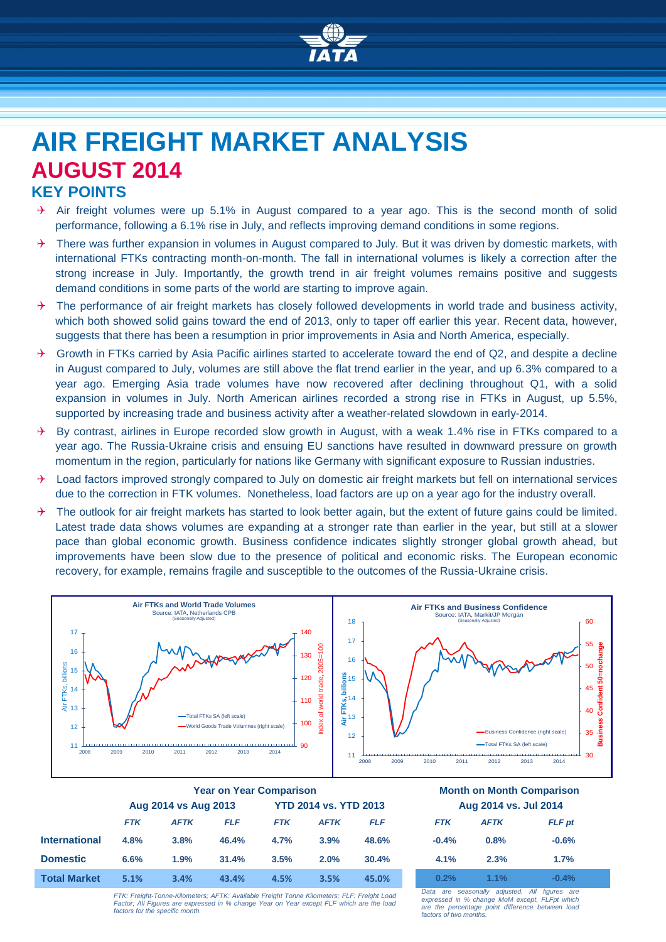

# **AIR FREIGHT MARKET ANALYSIS AUGUST 2014 KEY POINTS**

- Air freight volumes were up 5.1% in August compared to a year ago. This is the second month of solid performance, following a 6.1% rise in July, and reflects improving demand conditions in some regions.
- $\rightarrow$  There was further expansion in volumes in August compared to July. But it was driven by domestic markets, with international FTKs contracting month-on-month. The fall in international volumes is likely a correction after the strong increase in July. Importantly, the growth trend in air freight volumes remains positive and suggests demand conditions in some parts of the world are starting to improve again.
- $\rightarrow$  The performance of air freight markets has closely followed developments in world trade and business activity, which both showed solid gains toward the end of 2013, only to taper off earlier this year. Recent data, however, suggests that there has been a resumption in prior improvements in Asia and North America, especially.
- $\rightarrow$  Growth in FTKs carried by Asia Pacific airlines started to accelerate toward the end of Q2, and despite a decline in August compared to July, volumes are still above the flat trend earlier in the year, and up 6.3% compared to a year ago. Emerging Asia trade volumes have now recovered after declining throughout Q1, with a solid expansion in volumes in July. North American airlines recorded a strong rise in FTKs in August, up 5.5%, supported by increasing trade and business activity after a weather-related slowdown in early-2014.
- $\rightarrow$  By contrast, airlines in Europe recorded slow growth in August, with a weak 1.4% rise in FTKs compared to a year ago. The Russia-Ukraine crisis and ensuing EU sanctions have resulted in downward pressure on growth momentum in the region, particularly for nations like Germany with significant exposure to Russian industries.
- $\rightarrow$  Load factors improved strongly compared to July on domestic air freight markets but fell on international services due to the correction in FTK volumes. Nonetheless, load factors are up on a year ago for the industry overall.
- The outlook for air freight markets has started to look better again, but the extent of future gains could be limited. Latest trade data shows volumes are expanding at a stronger rate than earlier in the year, but still at a slower pace than global economic growth. Business confidence indicates slightly stronger global growth ahead, but improvements have been slow due to the presence of political and economic risks. The European economic recovery, for example, remains fragile and susceptible to the outcomes of the Russia-Ukraine crisis.



|                      | <b>Year on Year Comparison</b> |             |            |                              |             | <b>Month on Month Compariso</b> |                       |             |               |
|----------------------|--------------------------------|-------------|------------|------------------------------|-------------|---------------------------------|-----------------------|-------------|---------------|
|                      | Aug 2014 vs Aug 2013           |             |            | <b>YTD 2014 vs. YTD 2013</b> |             |                                 | Aug 2014 vs. Jul 2014 |             |               |
|                      | <b>FTK</b>                     | <b>AFTK</b> | <b>FLF</b> | <b>FTK</b>                   | <b>AFTK</b> | <b>FLF</b>                      | <b>FTK</b>            | <b>AFTK</b> | <b>FLF</b> pt |
| <b>International</b> | 4.8%                           | 3.8%        | 46.4%      | 4.7%                         | 3.9%        | 48.6%                           | $-0.4%$               | 0.8%        | $-0.6%$       |
| <b>Domestic</b>      | 6.6%                           | 1.9%        | 31.4%      | 3.5%                         | 2.0%        | 30.4%                           | 4.1%                  | 2.3%        | 1.7%          |
| <b>Total Market</b>  | 5.1%                           | 3.4%        | 43.4%      | 4.5%                         | 3.5%        | 45.0%                           | 0.2%                  | 1.1%        | $-0.4%$       |

# **Year on Year Comparison Month on Month Comparison Aug 2014 vs Aug 2013 YTD 2014 vs. YTD 2013 Aug 2014 vs. Jul 2014**

| <b>FTK</b> | <b>AFTK</b> | <b>FLF</b> pt |  |  |  |  |
|------------|-------------|---------------|--|--|--|--|
| $-0.4%$    | 0.8%        | $-0.6%$       |  |  |  |  |
| 4.1%       | 2.3%        | 1.7%          |  |  |  |  |
| 0.2%       | 1.1%        | $-0.4%$       |  |  |  |  |

*FTK: Freight-Tonne-Kilometers; AFTK: Available Freight Tonne Kilometers; FLF: Freight Load Factor; All Figures are expressed in % change Year on Year except FLF which are the load factors for the specific month.* *Data are seasonally adjusted. All figures are expressed in % change MoM except, FLFpt which are the percentage point difference between load factors of two months.*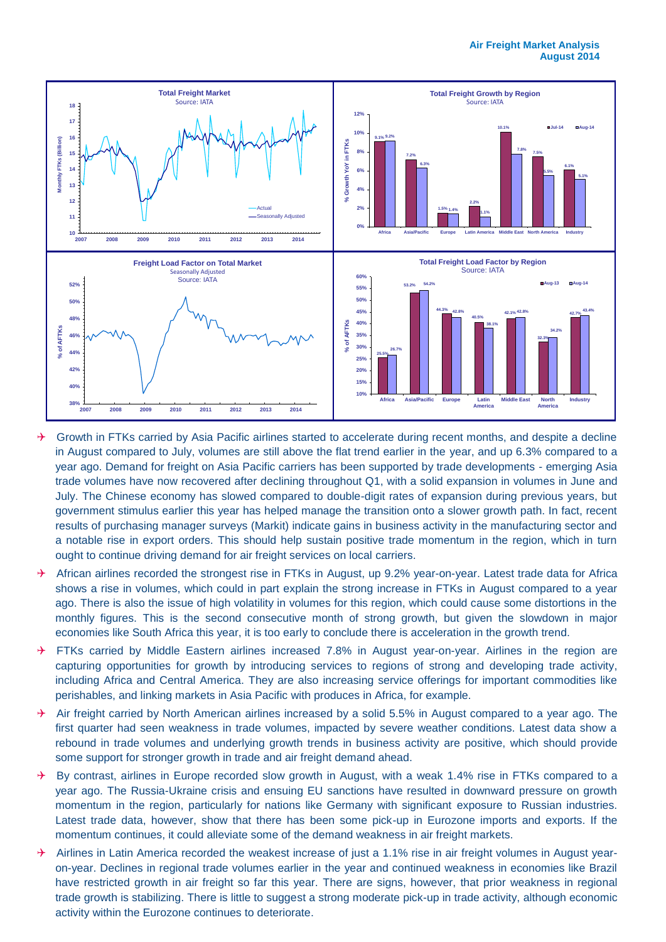#### **Air Freight Market Analysis August 2014**



- $\rightarrow$  Growth in FTKs carried by Asia Pacific airlines started to accelerate during recent months, and despite a decline in August compared to July, volumes are still above the flat trend earlier in the year, and up 6.3% compared to a year ago. Demand for freight on Asia Pacific carriers has been supported by trade developments - emerging Asia trade volumes have now recovered after declining throughout Q1, with a solid expansion in volumes in June and July. The Chinese economy has slowed compared to double-digit rates of expansion during previous years, but government stimulus earlier this year has helped manage the transition onto a slower growth path. In fact, recent results of purchasing manager surveys (Markit) indicate gains in business activity in the manufacturing sector and a notable rise in export orders. This should help sustain positive trade momentum in the region, which in turn ought to continue driving demand for air freight services on local carriers.
- $\rightarrow$  African airlines recorded the strongest rise in FTKs in August, up 9.2% year-on-year. Latest trade data for Africa shows a rise in volumes, which could in part explain the strong increase in FTKs in August compared to a year ago. There is also the issue of high volatility in volumes for this region, which could cause some distortions in the monthly figures. This is the second consecutive month of strong growth, but given the slowdown in major economies like South Africa this year, it is too early to conclude there is acceleration in the growth trend.
- $\rightarrow$  FTKs carried by Middle Eastern airlines increased 7.8% in August year-on-year. Airlines in the region are capturing opportunities for growth by introducing services to regions of strong and developing trade activity, including Africa and Central America. They are also increasing service offerings for important commodities like perishables, and linking markets in Asia Pacific with produces in Africa, for example.
- $\rightarrow$  Air freight carried by North American airlines increased by a solid 5.5% in August compared to a year ago. The first quarter had seen weakness in trade volumes, impacted by severe weather conditions. Latest data show a rebound in trade volumes and underlying growth trends in business activity are positive, which should provide some support for stronger growth in trade and air freight demand ahead.
- $\rightarrow$  By contrast, airlines in Europe recorded slow growth in August, with a weak 1.4% rise in FTKs compared to a year ago. The Russia-Ukraine crisis and ensuing EU sanctions have resulted in downward pressure on growth momentum in the region, particularly for nations like Germany with significant exposure to Russian industries. Latest trade data, however, show that there has been some pick-up in Eurozone imports and exports. If the momentum continues, it could alleviate some of the demand weakness in air freight markets.
- $\rightarrow$  Airlines in Latin America recorded the weakest increase of just a 1.1% rise in air freight volumes in August yearon-year. Declines in regional trade volumes earlier in the year and continued weakness in economies like Brazil have restricted growth in air freight so far this year. There are signs, however, that prior weakness in regional trade growth is stabilizing. There is little to suggest a strong moderate pick-up in trade activity, although economic activity within the Eurozone continues to deteriorate.